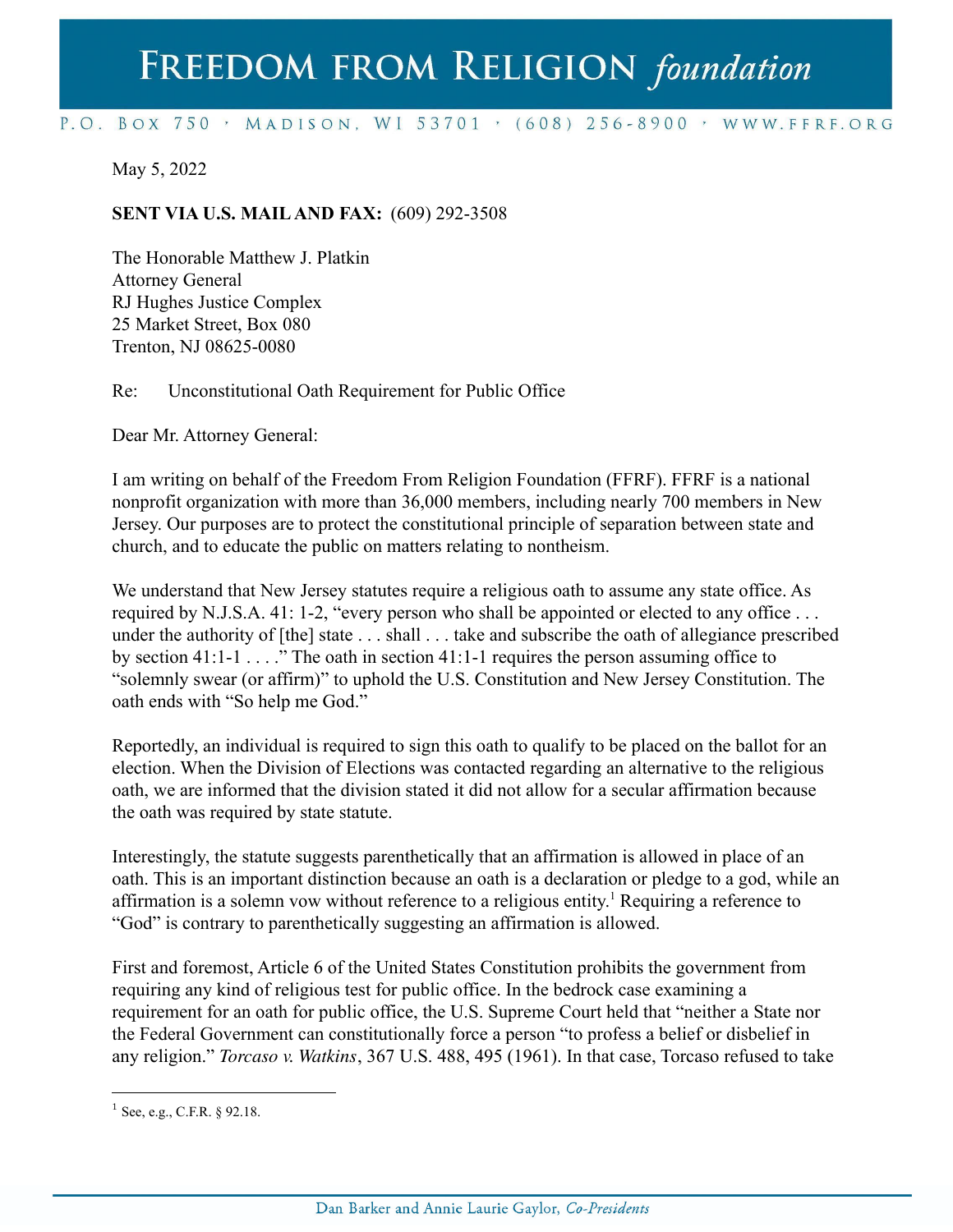## FREEDOM FROM RELIGION foundation

## P.O. BOX 750 > MADISON, WI 53701 > (608) 256-8900 > WWW.FFRF.ORG

May 5, 2022

## **SENT VIA U.S. MAILAND FAX:** (609) 292-3508

The Honorable Matthew J. Platkin Attorney General RJ Hughes Justice Complex 25 Market Street, Box 080 Trenton, NJ 08625-0080

Re: Unconstitutional Oath Requirement for Public Office

Dear Mr. Attorney General:

I am writing on behalf of the Freedom From Religion Foundation (FFRF). FFRF is a national nonprofit organization with more than 36,000 members, including nearly 700 members in New Jersey. Our purposes are to protect the constitutional principle of separation between state and church, and to educate the public on matters relating to nontheism.

We understand that New Jersey statutes require a religious oath to assume any state office. As required by N.J.S.A. 41: 1-2, "every person who shall be appointed or elected to any office ... under the authority of [the] state . . . shall . . . take and subscribe the oath of allegiance prescribed by section 41:1-1 . . . ." The oath in section 41:1-1 requires the person assuming office to "solemnly swear (or affirm)" to uphold the U.S. Constitution and New Jersey Constitution. The oath ends with "So help me God."

Reportedly, an individual is required to sign this oath to qualify to be placed on the ballot for an election. When the Division of Elections was contacted regarding an alternative to the religious oath, we are informed that the division stated it did not allow for a secular affirmation because the oath was required by state statute.

Interestingly, the statute suggests parenthetically that an affirmation is allowed in place of an oath. This is an important distinction because an oath is a declaration or pledge to a god, while an affirmation is a solemn vow without reference to a religious entity.<sup>1</sup> Requiring a reference to "God" is contrary to parenthetically suggesting an affirmation is allowed.

First and foremost, Article 6 of the United States Constitution prohibits the government from requiring any kind of religious test for public office. In the bedrock case examining a requirement for an oath for public office, the U.S. Supreme Court held that "neither a State nor the Federal Government can constitutionally force a person "to profess a belief or disbelief in any religion." *Torcaso v. Watkins*, 367 U.S. 488, 495 (1961). In that case, Torcaso refused to take

 $1$  See, e.g., C.F.R. § 92.18.